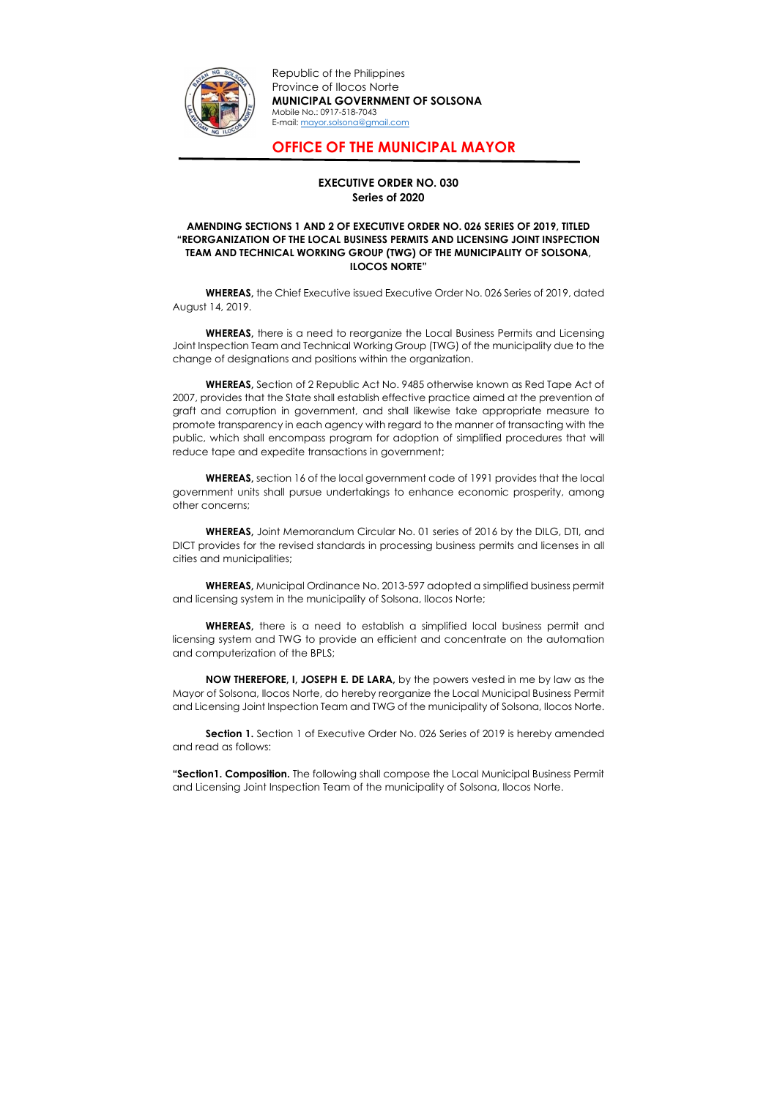

Republic of the Philippines Province of Ilocos Norte MUNICIPAL GOVERNMENT OF SOLSONA Mobile No.: 0917-518-7043 E-mail: mayor.solsona@gmail.com

## OFFICE OF THE MUNICIPAL MAYOR

## EXECUTIVE ORDER NO. 030 Series of 2020

## AMENDING SECTIONS 1 AND 2 OF EXECUTIVE ORDER NO. 026 SERIES OF 2019, TITLED "REORGANIZATION OF THE LOCAL BUSINESS PERMITS AND LICENSING JOINT INSPECTION TEAM AND TECHNICAL WORKING GROUP (TWG) OF THE MUNICIPALITY OF SOLSONA, ILOCOS NORTE"

 WHEREAS, the Chief Executive issued Executive Order No. 026 Series of 2019, dated August 14, 2019.

WHEREAS, there is a need to reorganize the Local Business Permits and Licensing Joint Inspection Team and Technical Working Group (TWG) of the municipality due to the change of designations and positions within the organization.

WHEREAS, there is a need to establish a simplified local business permit and licensing system and TWG to provide an efficient and concentrate on the automation and computerization of the BPLS;

WHEREAS, Section of 2 Republic Act No. 9485 otherwise known as Red Tape Act of 2007, provides that the State shall establish effective practice aimed at the prevention of graft and corruption in government, and shall likewise take appropriate measure to promote transparency in each agency with regard to the manner of transacting with the public, which shall encompass program for adoption of simplified procedures that will reduce tape and expedite transactions in government;

Section 1. Section 1 of Executive Order No. 026 Series of 2019 is hereby amended and read as follows:

 WHEREAS, section 16 of the local government code of 1991 provides that the local government units shall pursue undertakings to enhance economic prosperity, among other concerns;

WHEREAS, Joint Memorandum Circular No. 01 series of 2016 by the DILG, DTI, and DICT provides for the revised standards in processing business permits and licenses in all cities and municipalities;

WHEREAS, Municipal Ordinance No. 2013-597 adopted a simplified business permit and licensing system in the municipality of Solsona, Ilocos Norte;

NOW THEREFORE, I, JOSEPH E. DE LARA, by the powers vested in me by law as the Mayor of Solsona, Ilocos Norte, do hereby reorganize the Local Municipal Business Permit and Licensing Joint Inspection Team and TWG of the municipality of Solsona, Ilocos Norte.

"Section1. Composition. The following shall compose the Local Municipal Business Permit and Licensing Joint Inspection Team of the municipality of Solsona, Ilocos Norte.